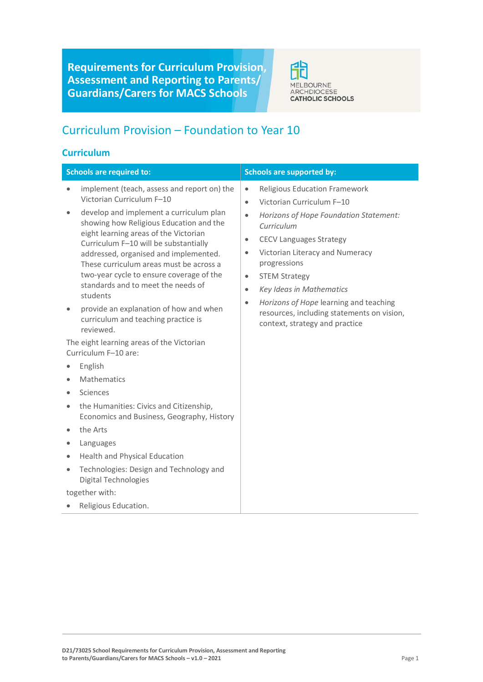**Requirements for Curriculum Provision, Assessment and Reporting to Parents/ Guardians/Carers for MACS Schools**



# Curriculum Provision – Foundation to Year 10

### **Curriculum**

| <b>Schools are required to:</b>     |                                                                                                                                                                                                                                                                                                                                                                                                                                                                              |                                                                                                      | <b>Schools are supported by:</b>                                                                                                                                                                                                                                                                                                                                                             |
|-------------------------------------|------------------------------------------------------------------------------------------------------------------------------------------------------------------------------------------------------------------------------------------------------------------------------------------------------------------------------------------------------------------------------------------------------------------------------------------------------------------------------|------------------------------------------------------------------------------------------------------|----------------------------------------------------------------------------------------------------------------------------------------------------------------------------------------------------------------------------------------------------------------------------------------------------------------------------------------------------------------------------------------------|
| $\bullet$<br>$\bullet$<br>$\bullet$ | implement (teach, assess and report on) the<br>Victorian Curriculum F-10<br>develop and implement a curriculum plan<br>showing how Religious Education and the<br>eight learning areas of the Victorian<br>Curriculum F-10 will be substantially<br>addressed, organised and implemented.<br>These curriculum areas must be across a<br>two-year cycle to ensure coverage of the<br>standards and to meet the needs of<br>students<br>provide an explanation of how and when | $\bullet$<br>$\bullet$<br>$\bullet$<br>$\bullet$<br>$\bullet$<br>$\bullet$<br>$\bullet$<br>$\bullet$ | <b>Religious Education Framework</b><br>Victorian Curriculum F-10<br>Horizons of Hope Foundation Statement:<br>Curriculum<br><b>CECV Languages Strategy</b><br>Victorian Literacy and Numeracy<br>progressions<br><b>STEM Strategy</b><br>Key Ideas in Mathematics<br>Horizons of Hope learning and teaching<br>resources, including statements on vision,<br>context, strategy and practice |
|                                     | curriculum and teaching practice is<br>reviewed.<br>The eight learning areas of the Victorian<br>Curriculum F-10 are:                                                                                                                                                                                                                                                                                                                                                        |                                                                                                      |                                                                                                                                                                                                                                                                                                                                                                                              |
|                                     | English                                                                                                                                                                                                                                                                                                                                                                                                                                                                      |                                                                                                      |                                                                                                                                                                                                                                                                                                                                                                                              |
| $\bullet$                           | Mathematics                                                                                                                                                                                                                                                                                                                                                                                                                                                                  |                                                                                                      |                                                                                                                                                                                                                                                                                                                                                                                              |
| $\bullet$                           | Sciences                                                                                                                                                                                                                                                                                                                                                                                                                                                                     |                                                                                                      |                                                                                                                                                                                                                                                                                                                                                                                              |
| $\bullet$                           | the Humanities: Civics and Citizenship,<br>Economics and Business, Geography, History                                                                                                                                                                                                                                                                                                                                                                                        |                                                                                                      |                                                                                                                                                                                                                                                                                                                                                                                              |
| $\bullet$                           | the Arts                                                                                                                                                                                                                                                                                                                                                                                                                                                                     |                                                                                                      |                                                                                                                                                                                                                                                                                                                                                                                              |
|                                     | Languages                                                                                                                                                                                                                                                                                                                                                                                                                                                                    |                                                                                                      |                                                                                                                                                                                                                                                                                                                                                                                              |
| $\bullet$                           | Health and Physical Education                                                                                                                                                                                                                                                                                                                                                                                                                                                |                                                                                                      |                                                                                                                                                                                                                                                                                                                                                                                              |
| $\bullet$                           | Technologies: Design and Technology and<br><b>Digital Technologies</b>                                                                                                                                                                                                                                                                                                                                                                                                       |                                                                                                      |                                                                                                                                                                                                                                                                                                                                                                                              |
|                                     | together with:                                                                                                                                                                                                                                                                                                                                                                                                                                                               |                                                                                                      |                                                                                                                                                                                                                                                                                                                                                                                              |
|                                     | Religious Education.                                                                                                                                                                                                                                                                                                                                                                                                                                                         |                                                                                                      |                                                                                                                                                                                                                                                                                                                                                                                              |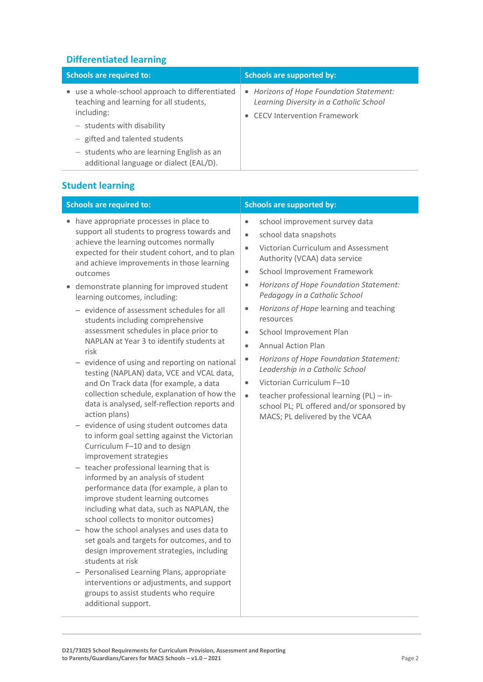### **Differentiated learning**

| <b>Schools are required to:</b>                                                                          | <b>Schools are supported by:</b>                                                                                          |
|----------------------------------------------------------------------------------------------------------|---------------------------------------------------------------------------------------------------------------------------|
| • use a whole-school approach to differentiated<br>teaching and learning for all students,<br>including: | • Horizons of Hope Foundation Statement:<br>Learning Diversity in a Catholic School<br><b>CECV Intervention Framework</b> |
| $-$ students with disability                                                                             |                                                                                                                           |
| - gifted and talented students                                                                           |                                                                                                                           |
| - students who are learning English as an<br>additional language or dialect (EAL/D).                     |                                                                                                                           |

# **Student learning**

# **Schools are required to: Schools are supported by: Schools are supported by:**

- have appropriate processes in place to support all students to progress towards and achieve the learning outcomes normally expected for their student cohort, and to plan and achieve improvements in those learning outcomes
- demonstrate planning for improved student learning outcomes, including:
	- − evidence of assessment schedules for all students including comprehensive assessment schedules in place prior to NAPLAN at Year 3 to identify students at risk
	- − evidence of using and reporting on national testing (NAPLAN) data, VCE and VCAL data, and On Track data (for example, a data collection schedule, explanation of how the data is analysed, self-reflection reports and action plans)
	- − evidence of using student outcomes data to inform goal setting against the Victorian Curriculum F–10 and to design improvement strategies
	- − teacher professional learning that is informed by an analysis of student performance data (for example, a plan to improve student learning outcomes including what data, such as NAPLAN, the school collects to monitor outcomes)
	- − how the school analyses and uses data to set goals and targets for outcomes, and to design improvement strategies, including students at risk
	- − Personalised Learning Plans, appropriate interventions or adjustments, and support groups to assist students who require additional support.

- school improvement survey data
- school data snapshots
- Victorian Curriculum and Assessment Authority (VCAA) data service
- School Improvement Framework
- *Horizons of Hope Foundation Statement: Pedagogy in a Catholic School*
- *Horizons of Hope* learning and teaching resources
- School Improvement Plan
- Annual Action Plan
- *Horizons of Hope Foundation Statement: Leadership in a Catholic School*
- Victorian Curriculum F-10
- $\bullet$  teacher professional learning (PL) inschool PL; PL offered and/or sponsored by MACS; PL delivered by the VCAA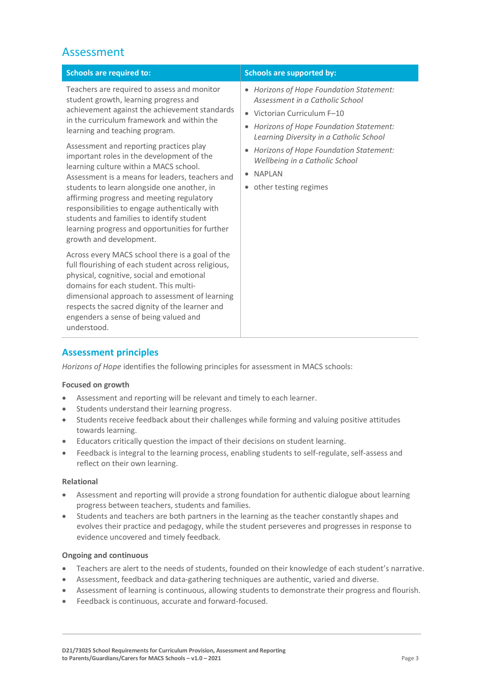# Assessment

| <b>Schools are required to:</b>                                                                                                                                                                                                                                                                                                                                                                                                                                                                                                                                                                                                                                                                                                                                                                                                                                                                                                                                                                                                               | <b>Schools are supported by:</b>                                                                                                                                                                                                                                                                                                                            |
|-----------------------------------------------------------------------------------------------------------------------------------------------------------------------------------------------------------------------------------------------------------------------------------------------------------------------------------------------------------------------------------------------------------------------------------------------------------------------------------------------------------------------------------------------------------------------------------------------------------------------------------------------------------------------------------------------------------------------------------------------------------------------------------------------------------------------------------------------------------------------------------------------------------------------------------------------------------------------------------------------------------------------------------------------|-------------------------------------------------------------------------------------------------------------------------------------------------------------------------------------------------------------------------------------------------------------------------------------------------------------------------------------------------------------|
| Teachers are required to assess and monitor<br>student growth, learning progress and<br>achievement against the achievement standards<br>in the curriculum framework and within the<br>learning and teaching program.<br>Assessment and reporting practices play<br>important roles in the development of the<br>learning culture within a MACS school.<br>Assessment is a means for leaders, teachers and<br>students to learn alongside one another, in<br>affirming progress and meeting regulatory<br>responsibilities to engage authentically with<br>students and families to identify student<br>learning progress and opportunities for further<br>growth and development.<br>Across every MACS school there is a goal of the<br>full flourishing of each student across religious,<br>physical, cognitive, social and emotional<br>domains for each student. This multi-<br>dimensional approach to assessment of learning<br>respects the sacred dignity of the learner and<br>engenders a sense of being valued and<br>understood. | Horizons of Hope Foundation Statement:<br>$\bullet$<br>Assessment in a Catholic School<br>• Victorian Curriculum F-10<br>Horizons of Hope Foundation Statement:<br>$\bullet$<br>Learning Diversity in a Catholic School<br>Horizons of Hope Foundation Statement:<br>Wellbeing in a Catholic School<br><b>NAPI AN</b><br>$\bullet$<br>other testing regimes |

### **Assessment principles**

*Horizons of Hope* identifies the following principles for assessment in MACS schools:

#### **Focused on growth**

- Assessment and reporting will be relevant and timely to each learner.
- Students understand their learning progress.
- Students receive feedback about their challenges while forming and valuing positive attitudes towards learning.
- Educators critically question the impact of their decisions on student learning.
- Feedback is integral to the learning process, enabling students to self-regulate, self-assess and reflect on their own learning.

#### **Relational**

- Assessment and reporting will provide a strong foundation for authentic dialogue about learning progress between teachers, students and families.
- Students and teachers are both partners in the learning as the teacher constantly shapes and evolves their practice and pedagogy, while the student perseveres and progresses in response to evidence uncovered and timely feedback.

#### **Ongoing and continuous**

- Teachers are alert to the needs of students, founded on their knowledge of each student's narrative.
- Assessment, feedback and data-gathering techniques are authentic, varied and diverse.
- Assessment of learning is continuous, allowing students to demonstrate their progress and flourish.
- Feedback is continuous, accurate and forward-focused.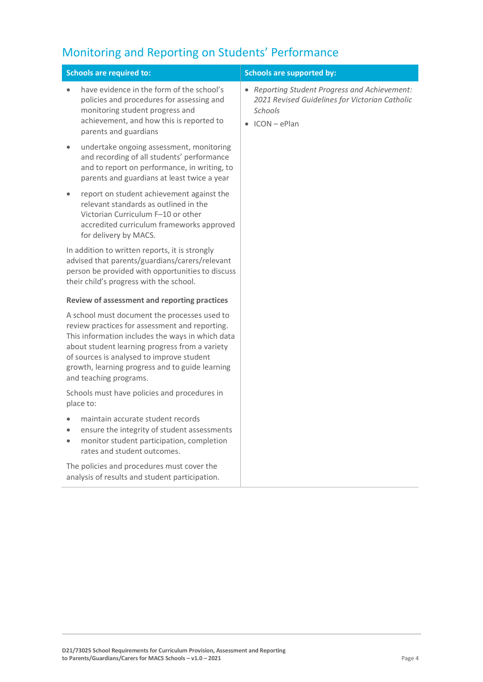# Monitoring and Reporting on Students' Performance

| <b>Schools are required to:</b>                                                                                                                                                                                                                                                                                                | <b>Schools are supported by:</b>                                                                                                            |  |
|--------------------------------------------------------------------------------------------------------------------------------------------------------------------------------------------------------------------------------------------------------------------------------------------------------------------------------|---------------------------------------------------------------------------------------------------------------------------------------------|--|
| have evidence in the form of the school's<br>policies and procedures for assessing and<br>monitoring student progress and<br>achievement, and how this is reported to<br>parents and guardians                                                                                                                                 | • Reporting Student Progress and Achievement:<br>2021 Revised Guidelines for Victorian Catholic<br><b>Schools</b><br>$\bullet$ ICON - ePlan |  |
| undertake ongoing assessment, monitoring<br>$\bullet$<br>and recording of all students' performance<br>and to report on performance, in writing, to<br>parents and guardians at least twice a year                                                                                                                             |                                                                                                                                             |  |
| report on student achievement against the<br>$\bullet$<br>relevant standards as outlined in the<br>Victorian Curriculum F-10 or other<br>accredited curriculum frameworks approved<br>for delivery by MACS.                                                                                                                    |                                                                                                                                             |  |
| In addition to written reports, it is strongly<br>advised that parents/guardians/carers/relevant<br>person be provided with opportunities to discuss<br>their child's progress with the school.                                                                                                                                |                                                                                                                                             |  |
| <b>Review of assessment and reporting practices</b>                                                                                                                                                                                                                                                                            |                                                                                                                                             |  |
| A school must document the processes used to<br>review practices for assessment and reporting.<br>This information includes the ways in which data<br>about student learning progress from a variety<br>of sources is analysed to improve student<br>growth, learning progress and to guide learning<br>and teaching programs. |                                                                                                                                             |  |
| Schools must have policies and procedures in<br>place to:                                                                                                                                                                                                                                                                      |                                                                                                                                             |  |
| maintain accurate student records<br>ensure the integrity of student assessments<br>$\bullet$<br>monitor student participation, completion<br>$\bullet$<br>rates and student outcomes.                                                                                                                                         |                                                                                                                                             |  |
| The policies and procedures must cover the<br>analysis of results and student participation.                                                                                                                                                                                                                                   |                                                                                                                                             |  |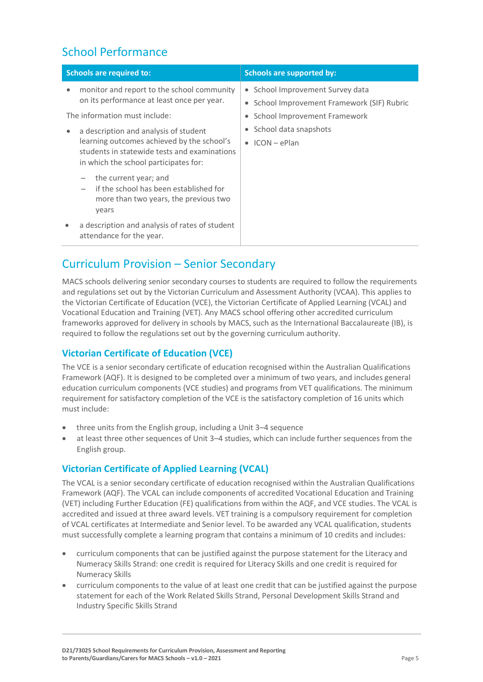# School Performance

| <b>Schools are required to:</b>                                                                                                                                                                                                                                                                                                     | <b>Schools are supported by:</b>                                                                                                                                 |
|-------------------------------------------------------------------------------------------------------------------------------------------------------------------------------------------------------------------------------------------------------------------------------------------------------------------------------------|------------------------------------------------------------------------------------------------------------------------------------------------------------------|
| monitor and report to the school community<br>$\bullet$<br>on its performance at least once per year.<br>The information must include:<br>a description and analysis of student<br>$\bullet$<br>learning outcomes achieved by the school's<br>students in statewide tests and examinations<br>in which the school participates for: | • School Improvement Survey data<br>School Improvement Framework (SIF) Rubric<br>School Improvement Framework<br>School data snapshots<br>$\bullet$ ICON – ePlan |
| the current year; and<br>if the school has been established for<br>more than two years, the previous two<br>years                                                                                                                                                                                                                   |                                                                                                                                                                  |
| a description and analysis of rates of student<br>$\bullet$<br>attendance for the year.                                                                                                                                                                                                                                             |                                                                                                                                                                  |

# Curriculum Provision – Senior Secondary

MACS schools delivering senior secondary courses to students are required to follow the requirements and regulations set out by the Victorian Curriculum and Assessment Authority (VCAA). This applies to the Victorian Certificate of Education (VCE), the Victorian Certificate of Applied Learning (VCAL) and Vocational Education and Training (VET). Any MACS school offering other accredited curriculum frameworks approved for delivery in schools by MACS, such as the International Baccalaureate (IB), is required to follow the regulations set out by the governing curriculum authority.

## **Victorian Certificate of Education (VCE)**

The VCE is a senior secondary certificate of education recognised within the Australian Qualifications Framework (AQF). It is designed to be completed over a minimum of two years, and includes general education curriculum components (VCE studies) and programs from VET qualifications. The minimum requirement for satisfactory completion of the VCE is the satisfactory completion of 16 units which must include:

- three units from the English group, including a Unit 3–4 sequence
- at least three other sequences of Unit 3–4 studies, which can include further sequences from the English group.

# **Victorian Certificate of Applied Learning (VCAL)**

The VCAL is a senior secondary certificate of education recognised within the Australian Qualifications Framework (AQF). The VCAL can include components of accredited Vocational Education and Training (VET) including Further Education (FE) qualifications from within the AQF, and VCE studies. The VCAL is accredited and issued at three award levels. VET training is a compulsory requirement for completion of VCAL certificates at Intermediate and Senior level. To be awarded any VCAL qualification, students must successfully complete a learning program that contains a minimum of 10 credits and includes:

- curriculum components that can be justified against the purpose statement for the Literacy and Numeracy Skills Strand: one credit is required for Literacy Skills and one credit is required for Numeracy Skills
- curriculum components to the value of at least one credit that can be justified against the purpose statement for each of the Work Related Skills Strand, Personal Development Skills Strand and Industry Specific Skills Strand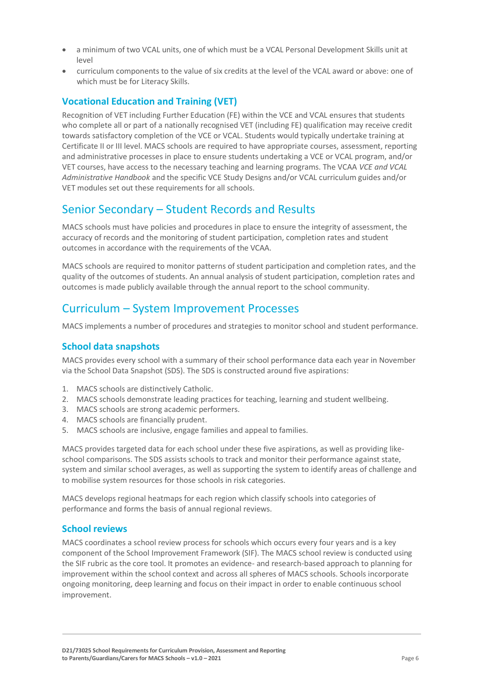- a minimum of two VCAL units, one of which must be a VCAL Personal Development Skills unit at level
- curriculum components to the value of six credits at the level of the VCAL award or above: one of which must be for Literacy Skills.

### **Vocational Education and Training (VET)**

Recognition of VET including Further Education (FE) within the VCE and VCAL ensures that students who complete all or part of a nationally recognised VET (including FE) qualification may receive credit towards satisfactory completion of the VCE or VCAL. Students would typically undertake training at Certificate II or III level. MACS schools are required to have appropriate courses, assessment, reporting and administrative processes in place to ensure students undertaking a VCE or VCAL program, and/or VET courses, have access to the necessary teaching and learning programs. The VCAA *VCE and VCAL Administrative Handbook* and the specific VCE Study Designs and/or VCAL curriculum guides and/or VET modules set out these requirements for all schools.

# Senior Secondary – Student Records and Results

MACS schools must have policies and procedures in place to ensure the integrity of assessment, the accuracy of records and the monitoring of student participation, completion rates and student outcomes in accordance with the requirements of the VCAA.

MACS schools are required to monitor patterns of student participation and completion rates, and the quality of the outcomes of students. An annual analysis of student participation, completion rates and outcomes is made publicly available through the annual report to the school community.

# Curriculum – System Improvement Processes

MACS implements a number of procedures and strategies to monitor school and student performance.

### **School data snapshots**

MACS provides every school with a summary of their school performance data each year in November via the School Data Snapshot (SDS). The SDS is constructed around five aspirations:

- 1. MACS schools are distinctively Catholic.
- 2. MACS schools demonstrate leading practices for teaching, learning and student wellbeing.
- 3. MACS schools are strong academic performers.
- 4. MACS schools are financially prudent.
- 5. MACS schools are inclusive, engage families and appeal to families.

MACS provides targeted data for each school under these five aspirations, as well as providing likeschool comparisons. The SDS assists schools to track and monitor their performance against state, system and similar school averages, as well as supporting the system to identify areas of challenge and to mobilise system resources for those schools in risk categories.

MACS develops regional heatmaps for each region which classify schools into categories of performance and forms the basis of annual regional reviews.

#### **School reviews**

MACS coordinates a school review process for schools which occurs every four years and is a key component of the School Improvement Framework (SIF). The MACS school review is conducted using the SIF rubric as the core tool. It promotes an evidence- and research-based approach to planning for improvement within the school context and across all spheres of MACS schools. Schools incorporate ongoing monitoring, deep learning and focus on their impact in order to enable continuous school improvement.